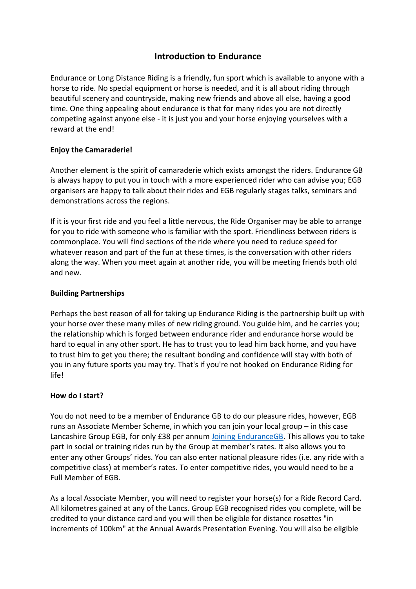# **Introduction to Endurance**

Endurance or Long Distance Riding is a friendly, fun sport which is available to anyone with a horse to ride. No special equipment or horse is needed, and it is all about riding through beautiful scenery and countryside, making new friends and above all else, having a good time. One thing appealing about endurance is that for many rides you are not directly competing against anyone else - it is just you and your horse enjoying yourselves with a reward at the end!

#### **Enjoy the Camaraderie!**

Another element is the spirit of camaraderie which exists amongst the riders. Endurance GB is always happy to put you in touch with a more experienced rider who can advise you; EGB organisers are happy to talk about their rides and EGB regularly stages talks, seminars and demonstrations across the regions.

If it is your first ride and you feel a little nervous, the Ride Organiser may be able to arrange for you to ride with someone who is familiar with the sport. Friendliness between riders is commonplace. You will find sections of the ride where you need to reduce speed for whatever reason and part of the fun at these times, is the conversation with other riders along the way. When you meet again at another ride, you will be meeting friends both old and new.

#### **Building Partnerships**

Perhaps the best reason of all for taking up Endurance Riding is the partnership built up with your horse over these many miles of new riding ground. You guide him, and he carries you; the relationship which is forged between endurance rider and endurance horse would be hard to equal in any other sport. He has to trust you to lead him back home, and you have to trust him to get you there; the resultant bonding and confidence will stay with both of you in any future sports you may try. That's if you're not hooked on Endurance Riding for life!

## **How do I start?**

You do not need to be a member of Endurance GB to do our pleasure rides, however, EGB runs an Associate Member Scheme, in which you can join your local group – in this case Lancashire Group EGB, for only £38 per annum [Joining EnduranceGB.](https://endurancegb.co.uk/main/Joining) This allows you to take part in social or training rides run by the Group at member's rates. It also allows you to enter any other Groups' rides. You can also enter national pleasure rides (i.e. any ride with a competitive class) at member's rates. To enter competitive rides, you would need to be a Full Member of EGB.

As a local Associate Member, you will need to register your horse(s) for a Ride Record Card. All kilometres gained at any of the Lancs. Group EGB recognised rides you complete, will be credited to your distance card and you will then be eligible for distance rosettes "in increments of 100km" at the Annual Awards Presentation Evening. You will also be eligible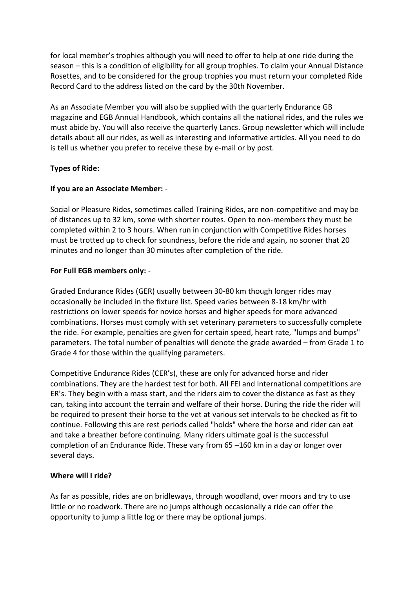for local member's trophies although you will need to offer to help at one ride during the season – this is a condition of eligibility for all group trophies. To claim your Annual Distance Rosettes, and to be considered for the group trophies you must return your completed Ride Record Card to the address listed on the card by the 30th November.

As an Associate Member you will also be supplied with the quarterly Endurance GB magazine and EGB Annual Handbook, which contains all the national rides, and the rules we must abide by. You will also receive the quarterly Lancs. Group newsletter which will include details about all our rides, as well as interesting and informative articles. All you need to do is tell us whether you prefer to receive these by e-mail or by post.

#### **Types of Ride:**

#### **If you are an Associate Member:** -

Social or Pleasure Rides, sometimes called Training Rides, are non-competitive and may be of distances up to 32 km, some with shorter routes. Open to non-members they must be completed within 2 to 3 hours. When run in conjunction with Competitive Rides horses must be trotted up to check for soundness, before the ride and again, no sooner that 20 minutes and no longer than 30 minutes after completion of the ride.

#### **For Full EGB members only:** -

Graded Endurance Rides (GER) usually between 30-80 km though longer rides may occasionally be included in the fixture list. Speed varies between 8-18 km/hr with restrictions on lower speeds for novice horses and higher speeds for more advanced combinations. Horses must comply with set veterinary parameters to successfully complete the ride. For example, penalties are given for certain speed, heart rate, "lumps and bumps" parameters. The total number of penalties will denote the grade awarded – from Grade 1 to Grade 4 for those within the qualifying parameters.

Competitive Endurance Rides (CER's), these are only for advanced horse and rider combinations. They are the hardest test for both. All FEI and International competitions are ER's. They begin with a mass start, and the riders aim to cover the distance as fast as they can, taking into account the terrain and welfare of their horse. During the ride the rider will be required to present their horse to the vet at various set intervals to be checked as fit to continue. Following this are rest periods called "holds" where the horse and rider can eat and take a breather before continuing. Many riders ultimate goal is the successful completion of an Endurance Ride. These vary from 65 –160 km in a day or longer over several days.

#### **Where will I ride?**

As far as possible, rides are on bridleways, through woodland, over moors and try to use little or no roadwork. There are no jumps although occasionally a ride can offer the opportunity to jump a little log or there may be optional jumps.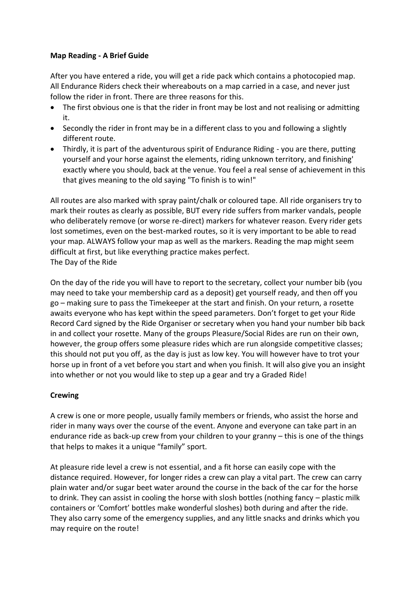## **Map Reading - A Brief Guide**

After you have entered a ride, you will get a ride pack which contains a photocopied map. All Endurance Riders check their whereabouts on a map carried in a case, and never just follow the rider in front. There are three reasons for this.

- The first obvious one is that the rider in front may be lost and not realising or admitting it.
- Secondly the rider in front may be in a different class to you and following a slightly different route.
- Thirdly, it is part of the adventurous spirit of Endurance Riding you are there, putting yourself and your horse against the elements, riding unknown territory, and finishing' exactly where you should, back at the venue. You feel a real sense of achievement in this that gives meaning to the old saying "To finish is to win!"

All routes are also marked with spray paint/chalk or coloured tape. All ride organisers try to mark their routes as clearly as possible, BUT every ride suffers from marker vandals, people who deliberately remove (or worse re-direct) markers for whatever reason. Every rider gets lost sometimes, even on the best-marked routes, so it is very important to be able to read your map. ALWAYS follow your map as well as the markers. Reading the map might seem difficult at first, but like everything practice makes perfect. The Day of the Ride

On the day of the ride you will have to report to the secretary, collect your number bib (you may need to take your membership card as a deposit) get yourself ready, and then off you go – making sure to pass the Timekeeper at the start and finish. On your return, a rosette awaits everyone who has kept within the speed parameters. Don't forget to get your Ride Record Card signed by the Ride Organiser or secretary when you hand your number bib back in and collect your rosette. Many of the groups Pleasure/Social Rides are run on their own, however, the group offers some pleasure rides which are run alongside competitive classes; this should not put you off, as the day is just as low key. You will however have to trot your horse up in front of a vet before you start and when you finish. It will also give you an insight into whether or not you would like to step up a gear and try a Graded Ride!

## **Crewing**

A crew is one or more people, usually family members or friends, who assist the horse and rider in many ways over the course of the event. Anyone and everyone can take part in an endurance ride as back-up crew from your children to your granny – this is one of the things that helps to makes it a unique "family" sport.

At pleasure ride level a crew is not essential, and a fit horse can easily cope with the distance required. However, for longer rides a crew can play a vital part. The crew can carry plain water and/or sugar beet water around the course in the back of the car for the horse to drink. They can assist in cooling the horse with slosh bottles (nothing fancy – plastic milk containers or 'Comfort' bottles make wonderful sloshes) both during and after the ride. They also carry some of the emergency supplies, and any little snacks and drinks which you may require on the route!